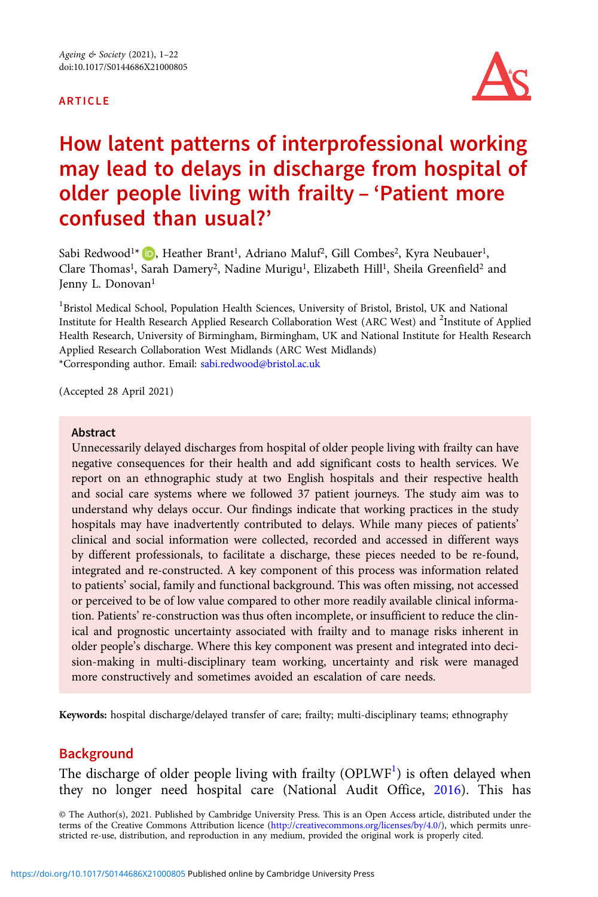#### ARTICLE



# How latent patterns of interprofessional working may lead to delays in discharge from hospital of older people living with frailty – 'Patient more confused than usual?'

Sabi Redwood<sup>1\*</sup> D[,](https://orcid.org/0000-0002-2159-1482) Heather Brant<sup>1</sup>, Adriano Maluf<sup>2</sup>, Gill Combes<sup>2</sup>, Kyra Neubauer<sup>1</sup>, Clare Thomas<sup>1</sup>, Sarah Damery<sup>2</sup>, Nadine Murigu<sup>1</sup>, Elizabeth Hill<sup>1</sup>, Sheila Greenfield<sup>2</sup> and Jenny L. Donovan<sup>1</sup>

<sup>1</sup>Bristol Medical School, Population Health Sciences, University of Bristol, Bristol, UK and National Institute for Health Research Applied Research Collaboration West (ARC West) and <sup>2</sup>Institute of Applied Health Research, University of Birmingham, Birmingham, UK and National Institute for Health Research Applied Research Collaboration West Midlands (ARC West Midlands) \*Corresponding author. Email: [sabi.redwood@bristol.ac.uk](mailto:sabi.redwood@bristol.ac.uk)

(Accepted 28 April 2021)

#### Abstract

Unnecessarily delayed discharges from hospital of older people living with frailty can have negative consequences for their health and add significant costs to health services. We report on an ethnographic study at two English hospitals and their respective health and social care systems where we followed 37 patient journeys. The study aim was to understand why delays occur. Our findings indicate that working practices in the study hospitals may have inadvertently contributed to delays. While many pieces of patients' clinical and social information were collected, recorded and accessed in different ways by different professionals, to facilitate a discharge, these pieces needed to be re-found, integrated and re-constructed. A key component of this process was information related to patients' social, family and functional background. This was often missing, not accessed or perceived to be of low value compared to other more readily available clinical information. Patients' re-construction was thus often incomplete, or insufficient to reduce the clinical and prognostic uncertainty associated with frailty and to manage risks inherent in older people's discharge. Where this key component was present and integrated into decision-making in multi-disciplinary team working, uncertainty and risk were managed more constructively and sometimes avoided an escalation of care needs.

Keywords: hospital discharge/delayed transfer of care; frailty; multi-disciplinary teams; ethnography

# **Background**

The discharge of older people living with frailty (OPLWF<sup>[1](#page-19-0)</sup>) is often delayed when they no longer need hospital care (National Audit Office, [2016](#page-20-0)). This has

© The Author(s), 2021. Published by Cambridge University Press. This is an Open Access article, distributed under the terms of the Creative Commons Attribution licence [\(http://creativecommons.org/licenses/by/4.0/\)](http://creativecommons.org/licenses/by/4.0/), which permits unrestricted re-use, distribution, and reproduction in any medium, provided the original work is properly cited.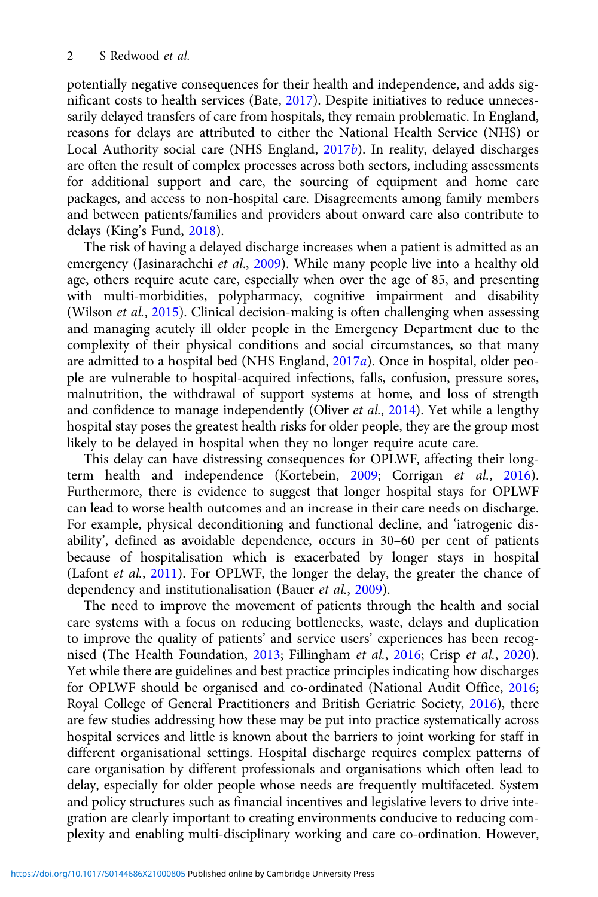potentially negative consequences for their health and independence, and adds significant costs to health services (Bate, [2017](#page-19-0)). Despite initiatives to reduce unnecessarily delayed transfers of care from hospitals, they remain problematic. In England, reasons for delays are attributed to either the National Health Service (NHS) or Local Authority social care (NHS England,  $2017b$  $2017b$ ). In reality, delayed discharges are often the result of complex processes across both sectors, including assessments for additional support and care, the sourcing of equipment and home care packages, and access to non-hospital care. Disagreements among family members and between patients/families and providers about onward care also contribute to delays (King's Fund, [2018\)](#page-20-0).

The risk of having a delayed discharge increases when a patient is admitted as an emergency (Jasinarachchi et al., [2009\)](#page-20-0). While many people live into a healthy old age, others require acute care, especially when over the age of 85, and presenting with multi-morbidities, polypharmacy, cognitive impairment and disability (Wilson et al., [2015\)](#page-21-0). Clinical decision-making is often challenging when assessing and managing acutely ill older people in the Emergency Department due to the complexity of their physical conditions and social circumstances, so that many are admitted to a hospital bed (NHS England, [2017](#page-20-0)a). Once in hospital, older people are vulnerable to hospital-acquired infections, falls, confusion, pressure sores, malnutrition, the withdrawal of support systems at home, and loss of strength and confidence to manage independently (Oliver et al., [2014\)](#page-20-0). Yet while a lengthy hospital stay poses the greatest health risks for older people, they are the group most likely to be delayed in hospital when they no longer require acute care.

This delay can have distressing consequences for OPLWF, affecting their longterm health and independence (Kortebein, [2009](#page-20-0); Corrigan et al., [2016\)](#page-19-0). Furthermore, there is evidence to suggest that longer hospital stays for OPLWF can lead to worse health outcomes and an increase in their care needs on discharge. For example, physical deconditioning and functional decline, and 'iatrogenic disability', defined as avoidable dependence, occurs in 30–60 per cent of patients because of hospitalisation which is exacerbated by longer stays in hospital (Lafont et al., [2011](#page-20-0)). For OPLWF, the longer the delay, the greater the chance of dependency and institutionalisation (Bauer et al., [2009](#page-19-0)).

The need to improve the movement of patients through the health and social care systems with a focus on reducing bottlenecks, waste, delays and duplication to improve the quality of patients' and service users' experiences has been recognised (The Health Foundation, [2013;](#page-21-0) Fillingham et al., [2016](#page-20-0); Crisp et al., [2020\)](#page-19-0). Yet while there are guidelines and best practice principles indicating how discharges for OPLWF should be organised and co-ordinated (National Audit Office, [2016](#page-20-0); Royal College of General Practitioners and British Geriatric Society, [2016\)](#page-21-0), there are few studies addressing how these may be put into practice systematically across hospital services and little is known about the barriers to joint working for staff in different organisational settings. Hospital discharge requires complex patterns of care organisation by different professionals and organisations which often lead to delay, especially for older people whose needs are frequently multifaceted. System and policy structures such as financial incentives and legislative levers to drive integration are clearly important to creating environments conducive to reducing complexity and enabling multi-disciplinary working and care co-ordination. However,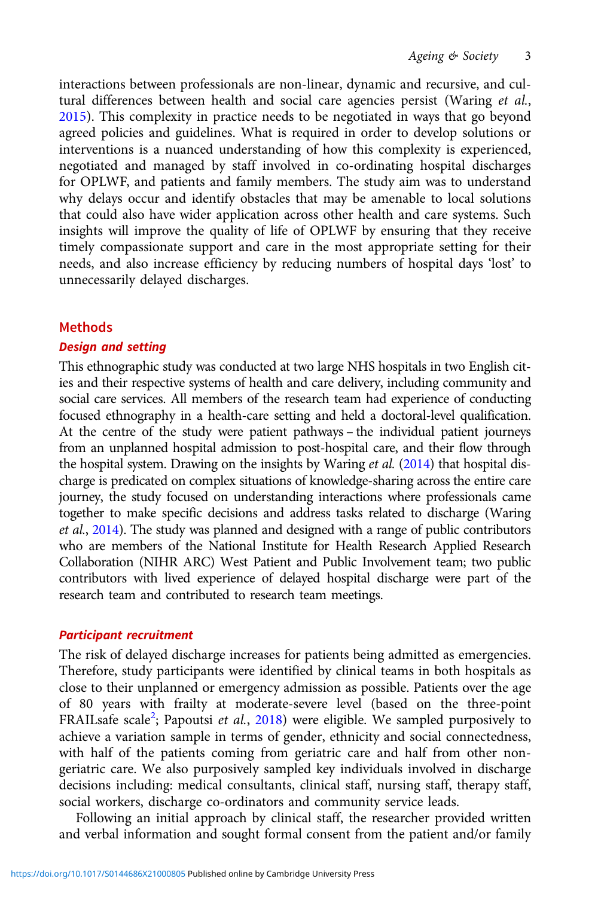interactions between professionals are non-linear, dynamic and recursive, and cultural differences between health and social care agencies persist (Waring et al., [2015](#page-21-0)). This complexity in practice needs to be negotiated in ways that go beyond agreed policies and guidelines. What is required in order to develop solutions or interventions is a nuanced understanding of how this complexity is experienced, negotiated and managed by staff involved in co-ordinating hospital discharges for OPLWF, and patients and family members. The study aim was to understand why delays occur and identify obstacles that may be amenable to local solutions that could also have wider application across other health and care systems. Such insights will improve the quality of life of OPLWF by ensuring that they receive timely compassionate support and care in the most appropriate setting for their needs, and also increase efficiency by reducing numbers of hospital days 'lost' to unnecessarily delayed discharges.

## Methods

## Design and setting

This ethnographic study was conducted at two large NHS hospitals in two English cities and their respective systems of health and care delivery, including community and social care services. All members of the research team had experience of conducting focused ethnography in a health-care setting and held a doctoral-level qualification. At the centre of the study were patient pathways – the individual patient journeys from an unplanned hospital admission to post-hospital care, and their flow through the hospital system. Drawing on the insights by Waring *et al.*  $(2014)$  $(2014)$  that hospital discharge is predicated on complex situations of knowledge-sharing across the entire care journey, the study focused on understanding interactions where professionals came together to make specific decisions and address tasks related to discharge (Waring et al., [2014\)](#page-21-0). The study was planned and designed with a range of public contributors who are members of the National Institute for Health Research Applied Research Collaboration (NIHR ARC) West Patient and Public Involvement team; two public contributors with lived experience of delayed hospital discharge were part of the research team and contributed to research team meetings.

## Participant recruitment

The risk of delayed discharge increases for patients being admitted as emergencies. Therefore, study participants were identified by clinical teams in both hospitals as close to their unplanned or emergency admission as possible. Patients over the age of 80 years with frailty at moderate-severe level (based on the three-point FRAILsafe scale<sup>[2](#page-19-0)</sup>; Papoutsi et al., [2018](#page-20-0)) were eligible. We sampled purposively to achieve a variation sample in terms of gender, ethnicity and social connectedness, with half of the patients coming from geriatric care and half from other nongeriatric care. We also purposively sampled key individuals involved in discharge decisions including: medical consultants, clinical staff, nursing staff, therapy staff, social workers, discharge co-ordinators and community service leads.

Following an initial approach by clinical staff, the researcher provided written and verbal information and sought formal consent from the patient and/or family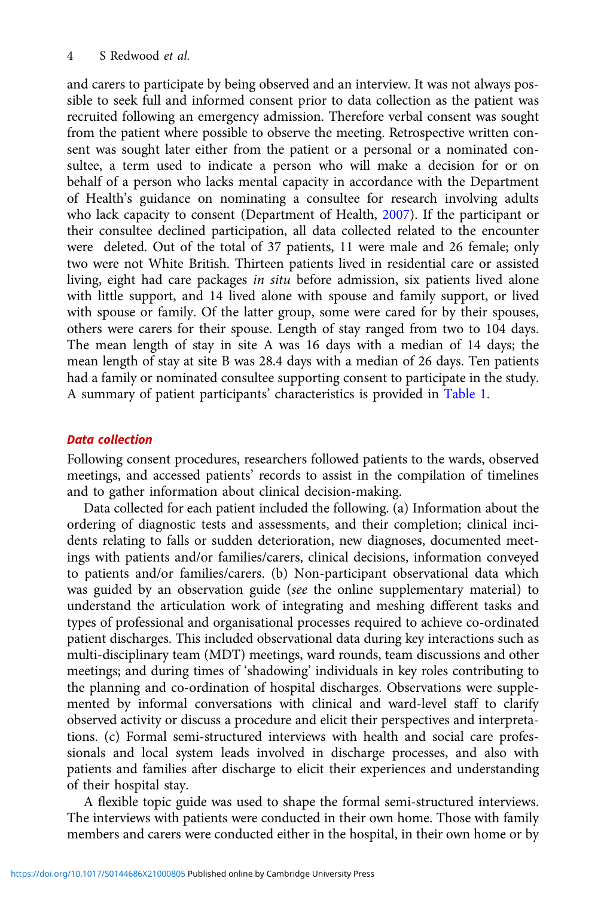and carers to participate by being observed and an interview. It was not always possible to seek full and informed consent prior to data collection as the patient was recruited following an emergency admission. Therefore verbal consent was sought from the patient where possible to observe the meeting. Retrospective written consent was sought later either from the patient or a personal or a nominated consultee, a term used to indicate a person who will make a decision for or on behalf of a person who lacks mental capacity in accordance with the Department of Health's guidance on nominating a consultee for research involving adults who lack capacity to consent (Department of Health, [2007](#page-19-0)). If the participant or their consultee declined participation, all data collected related to the encounter were deleted. Out of the total of 37 patients, 11 were male and 26 female; only two were not White British. Thirteen patients lived in residential care or assisted living, eight had care packages in situ before admission, six patients lived alone with little support, and 14 lived alone with spouse and family support, or lived with spouse or family. Of the latter group, some were cared for by their spouses, others were carers for their spouse. Length of stay ranged from two to 104 days. The mean length of stay in site A was 16 days with a median of 14 days; the mean length of stay at site B was 28.4 days with a median of 26 days. Ten patients had a family or nominated consultee supporting consent to participate in the study. A summary of patient participants' characteristics is provided in [Table 1.](#page-4-0)

#### Data collection

Following consent procedures, researchers followed patients to the wards, observed meetings, and accessed patients' records to assist in the compilation of timelines and to gather information about clinical decision-making.

Data collected for each patient included the following. (a) Information about the ordering of diagnostic tests and assessments, and their completion; clinical incidents relating to falls or sudden deterioration, new diagnoses, documented meetings with patients and/or families/carers, clinical decisions, information conveyed to patients and/or families/carers. (b) Non-participant observational data which was guided by an observation guide (see the online supplementary material) to understand the articulation work of integrating and meshing different tasks and types of professional and organisational processes required to achieve co-ordinated patient discharges. This included observational data during key interactions such as multi-disciplinary team (MDT) meetings, ward rounds, team discussions and other meetings; and during times of 'shadowing' individuals in key roles contributing to the planning and co-ordination of hospital discharges. Observations were supplemented by informal conversations with clinical and ward-level staff to clarify observed activity or discuss a procedure and elicit their perspectives and interpretations. (c) Formal semi-structured interviews with health and social care professionals and local system leads involved in discharge processes, and also with patients and families after discharge to elicit their experiences and understanding of their hospital stay.

A flexible topic guide was used to shape the formal semi-structured interviews. The interviews with patients were conducted in their own home. Those with family members and carers were conducted either in the hospital, in their own home or by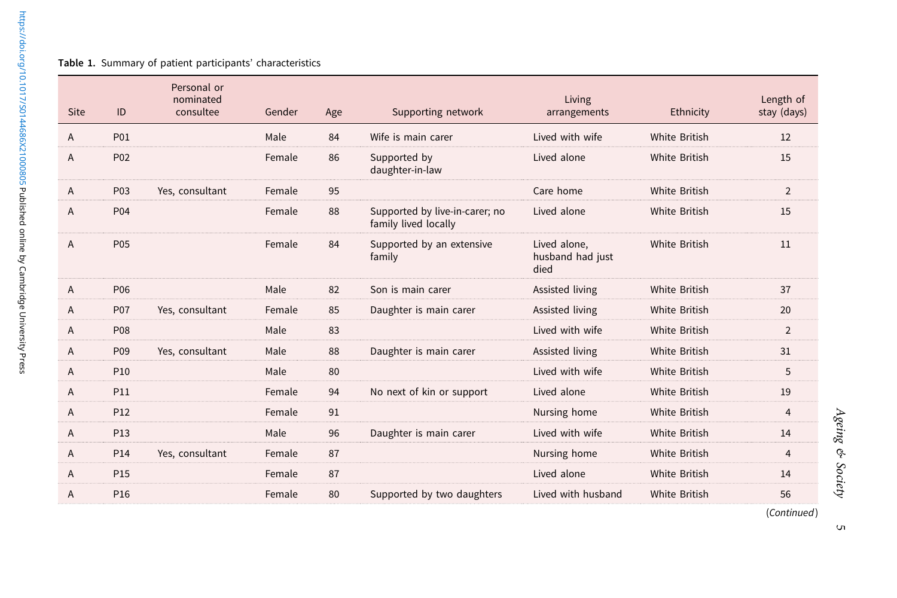#### <span id="page-4-0"></span>Table 1. Summary of patient participants' characteristics

| <b>Site</b> | ID              | Personal or<br>nominated<br>consultee | Gender | Age | Supporting network                                     | Living<br>arrangements                   | Ethnicity            | Length of<br>stay (days) |
|-------------|-----------------|---------------------------------------|--------|-----|--------------------------------------------------------|------------------------------------------|----------------------|--------------------------|
| Α           | P01             |                                       | Male   | 84  | Wife is main carer                                     | Lived with wife                          | White British        | 12                       |
| Α           | P02             |                                       | Female | 86  | Supported by<br>daughter-in-law                        | Lived alone                              | White British        | 15                       |
| Α           | P03             | Yes, consultant                       | Female | 95  |                                                        | Care home                                | White British        | $\overline{2}$           |
| Α           | P04             |                                       | Female | 88  | Supported by live-in-carer; no<br>family lived locally | Lived alone                              | <b>White British</b> | 15                       |
| Α           | P05             |                                       | Female | 84  | Supported by an extensive<br>family                    | Lived alone,<br>husband had just<br>died | <b>White British</b> | 11                       |
| Α           | P06             |                                       | Male   | 82  | Son is main carer                                      | Assisted living                          | <b>White British</b> | 37                       |
| Α           | P07             | Yes, consultant                       | Female | 85  | Daughter is main carer                                 | Assisted living                          | White British        | 20                       |
| Α           | <b>P08</b>      |                                       | Male   | 83  |                                                        | Lived with wife                          | White British        | $\overline{2}$           |
| Α           | P09             | Yes, consultant                       | Male   | 88  | Daughter is main carer                                 | Assisted living                          | <b>White British</b> | 31                       |
| A           | P <sub>10</sub> |                                       | Male   | 80  |                                                        | Lived with wife                          | White British        | 5                        |
| Α           | <b>P11</b>      |                                       | Female | 94  | No next of kin or support                              | Lived alone                              | <b>White British</b> | 19                       |
| A           | P <sub>12</sub> |                                       | Female | 91  |                                                        | Nursing home                             | White British        | $\overline{4}$           |
| Α           | P13             |                                       | Male   | 96  | Daughter is main carer                                 | Lived with wife                          | <b>White British</b> | 14                       |
| Α           | P14             | Yes, consultant                       | Female | 87  |                                                        | Nursing home                             | White British        | $\overline{4}$           |
| Α           | P <sub>15</sub> |                                       | Female | 87  |                                                        | Lived alone                              | White British        | 14                       |
| Α           | P <sub>16</sub> |                                       | Female | 80  | Supported by two daughters                             | Lived with husband                       | White British        | 56                       |
|             |                 |                                       |        |     |                                                        |                                          |                      | (Continued)              |

5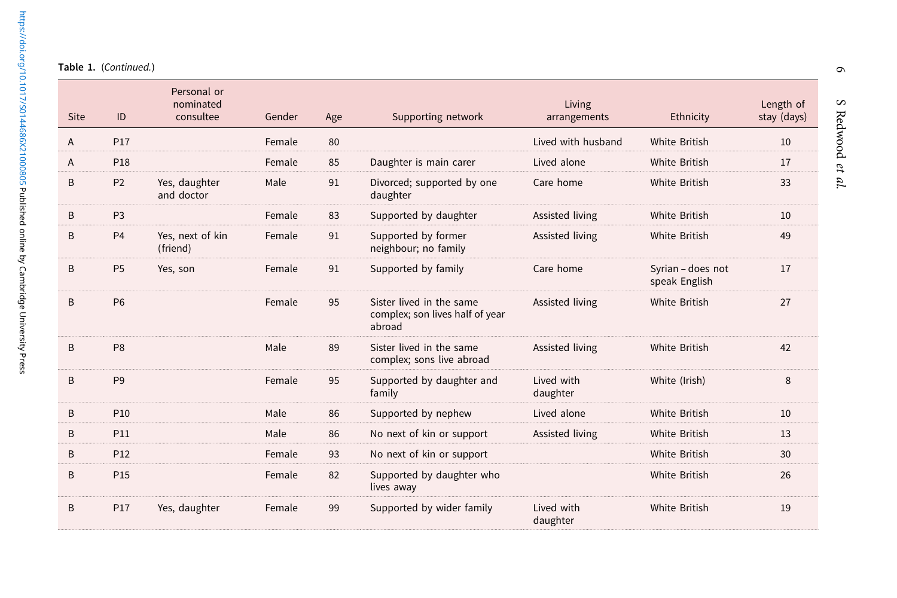ł,

| <b>Site</b> | ID              | Personal or<br>nominated<br>consultee | Gender | Age | Supporting network                                                    | Living<br>arrangements | Ethnicity                          | Length of<br>stay (days) |
|-------------|-----------------|---------------------------------------|--------|-----|-----------------------------------------------------------------------|------------------------|------------------------------------|--------------------------|
| A           | <b>P17</b>      |                                       | Female | 80  |                                                                       | Lived with husband     | White British                      | 10                       |
| A           | P18             |                                       | Female | 85  | Daughter is main carer                                                | Lived alone            | <b>White British</b>               | 17                       |
| B           | P <sub>2</sub>  | Yes, daughter<br>and doctor           | Male   | 91  | Divorced; supported by one<br>daughter                                | Care home              | White British                      | 33                       |
| B           | P <sub>3</sub>  |                                       | Female | 83  | Supported by daughter                                                 | Assisted living        | <b>White British</b>               | 10                       |
| B           | P <sub>4</sub>  | Yes, next of kin<br>(friend)          | Female | 91  | Supported by former<br>neighbour; no family                           | Assisted living        | White British                      | 49                       |
| B           | P <sub>5</sub>  | Yes, son                              | Female | 91  | Supported by family                                                   | Care home              | Syrian - does not<br>speak English | 17                       |
| B           | <b>P6</b>       |                                       | Female | 95  | Sister lived in the same<br>complex; son lives half of year<br>abroad | Assisted living        | White British                      | 27                       |
| B           | P <sub>8</sub>  |                                       | Male   | 89  | Sister lived in the same<br>complex; sons live abroad                 | Assisted living        | White British                      | 42                       |
| B           | P <sub>9</sub>  |                                       | Female | 95  | Supported by daughter and<br>family                                   | Lived with<br>daughter | White (Irish)                      | 8                        |
| B           | P <sub>10</sub> |                                       | Male   | 86  | Supported by nephew                                                   | Lived alone            | <b>White British</b>               | 10                       |
| B           | P11             |                                       | Male   | 86  | No next of kin or support                                             | Assisted living        | White British                      | 13                       |
| B           | P <sub>12</sub> |                                       | Female | 93  | No next of kin or support                                             |                        | White British                      | 30                       |
| B           | P15             |                                       | Female | 82  | Supported by daughter who<br>lives away                               |                        | <b>White British</b>               | 26                       |
| B           | P <sub>17</sub> | Yes, daughter                         | Female | 99  | Supported by wider family                                             | Lived with<br>daughter | White British                      | 19                       |

 $\bullet$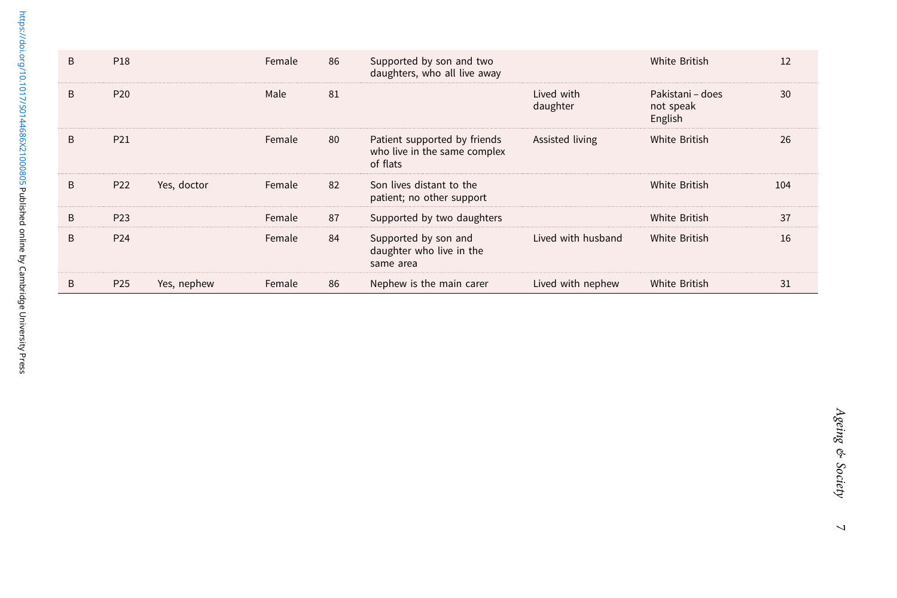| B | P18             |             | Female | 86 | Supported by son and two<br>daughters, who all live away                 |                        | White British                            | 12  |
|---|-----------------|-------------|--------|----|--------------------------------------------------------------------------|------------------------|------------------------------------------|-----|
| B | P <sub>20</sub> |             | Male   | 81 |                                                                          | Lived with<br>daughter | Pakistani – does<br>not speak<br>English | 30  |
| B | P21             |             | Female | 80 | Patient supported by friends<br>who live in the same complex<br>of flats | Assisted living        | White British                            | 26  |
| B | P22             | Yes, doctor | Female | 82 | Son lives distant to the<br>patient; no other support                    |                        | White British                            | 104 |
| B | P <sub>23</sub> |             | Female | 87 | Supported by two daughters                                               |                        | White British                            | 37  |
| B | P <sub>24</sub> |             | Female | 84 | Supported by son and<br>daughter who live in the<br>same area            | Lived with husband     | White British                            | 16  |
| B | P <sub>25</sub> | Yes, nephew | Female | 86 | Nephew is the main carer                                                 | Lived with nephew      | White British                            | 31  |

 $\overline{a}$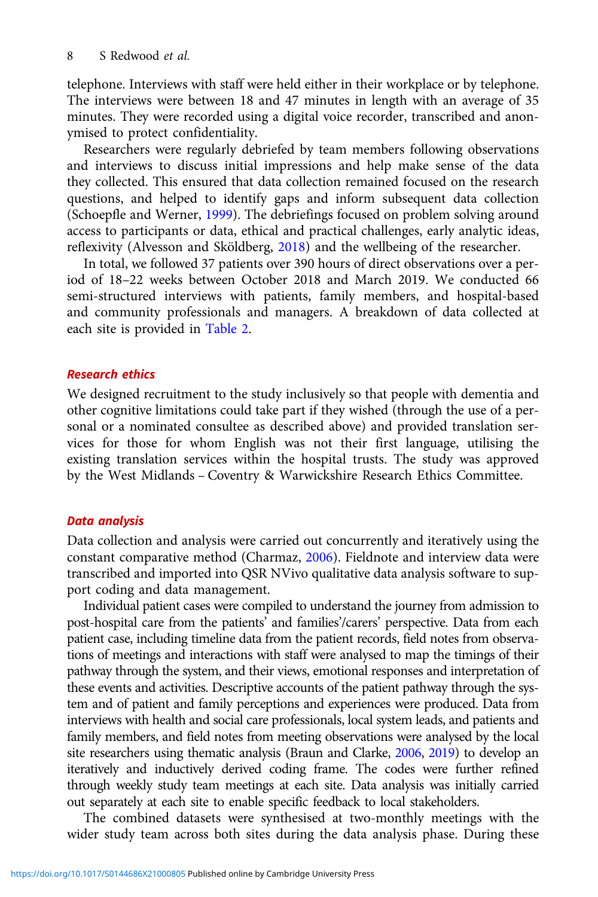telephone. Interviews with staff were held either in their workplace or by telephone. The interviews were between 18 and 47 minutes in length with an average of 35 minutes. They were recorded using a digital voice recorder, transcribed and anonymised to protect confidentiality.

Researchers were regularly debriefed by team members following observations and interviews to discuss initial impressions and help make sense of the data they collected. This ensured that data collection remained focused on the research questions, and helped to identify gaps and inform subsequent data collection (Schoepfle and Werner, [1999\)](#page-21-0). The debriefings focused on problem solving around access to participants or data, ethical and practical challenges, early analytic ideas, reflexivity (Alvesson and Sköldberg, [2018\)](#page-19-0) and the wellbeing of the researcher.

In total, we followed 37 patients over 390 hours of direct observations over a period of 18–22 weeks between October 2018 and March 2019. We conducted 66 semi-structured interviews with patients, family members, and hospital-based and community professionals and managers. A breakdown of data collected at each site is provided in [Table 2.](#page-8-0)

#### Research ethics

We designed recruitment to the study inclusively so that people with dementia and other cognitive limitations could take part if they wished (through the use of a personal or a nominated consultee as described above) and provided translation services for those for whom English was not their first language, utilising the existing translation services within the hospital trusts. The study was approved by the West Midlands – Coventry & Warwickshire Research Ethics Committee.

#### Data analysis

Data collection and analysis were carried out concurrently and iteratively using the constant comparative method (Charmaz, [2006\)](#page-19-0). Fieldnote and interview data were transcribed and imported into QSR NVivo qualitative data analysis software to support coding and data management.

Individual patient cases were compiled to understand the journey from admission to post-hospital care from the patients' and families'/carers' perspective. Data from each patient case, including timeline data from the patient records, field notes from observations of meetings and interactions with staff were analysed to map the timings of their pathway through the system, and their views, emotional responses and interpretation of these events and activities. Descriptive accounts of the patient pathway through the system and of patient and family perceptions and experiences were produced. Data from interviews with health and social care professionals, local system leads, and patients and family members, and field notes from meeting observations were analysed by the local site researchers using thematic analysis (Braun and Clarke, [2006](#page-19-0), [2019\)](#page-19-0) to develop an iteratively and inductively derived coding frame. The codes were further refined through weekly study team meetings at each site. Data analysis was initially carried out separately at each site to enable specific feedback to local stakeholders.

The combined datasets were synthesised at two-monthly meetings with the wider study team across both sites during the data analysis phase. During these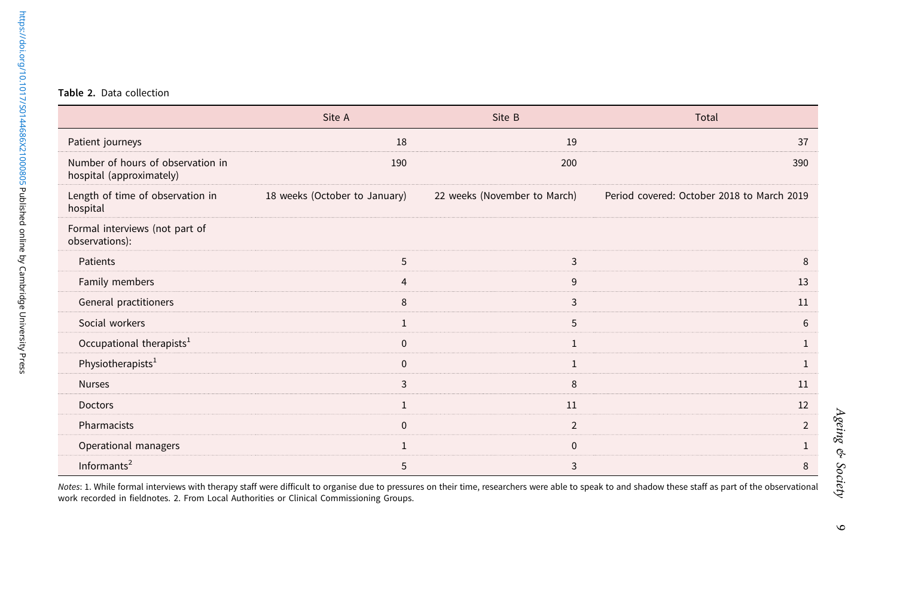#### <span id="page-8-0"></span>Table 2. Data collection

|                                                               | Site A                        | Site B                       | Total                                      |
|---------------------------------------------------------------|-------------------------------|------------------------------|--------------------------------------------|
| Patient journeys                                              | 18                            | 19                           | 37                                         |
| Number of hours of observation in<br>hospital (approximately) | 190                           | 200                          | 390                                        |
| Length of time of observation in<br>hospital                  | 18 weeks (October to January) | 22 weeks (November to March) | Period covered: October 2018 to March 2019 |
| Formal interviews (not part of<br>observations):              |                               |                              |                                            |
| Patients                                                      | 5                             | 3                            | 8                                          |
| Family members                                                | $\overline{4}$                | 9                            | 13                                         |
| General practitioners                                         | 8                             | 3                            | 11                                         |
| Social workers                                                | $\mathbf{1}$                  | 5                            | 6                                          |
| Occupational therapists <sup>1</sup>                          | $\mathbf{0}$                  | 1                            | $\mathbf{1}$                               |
| Physiotherapists <sup>1</sup>                                 | $\Omega$                      | $\mathbf{1}$                 | $\mathbf{1}$                               |
| <b>Nurses</b>                                                 | 3                             | 8                            | 11                                         |
| Doctors                                                       | $\mathbf{1}$                  | 11                           | 12                                         |
| Pharmacists                                                   | $\mathbf{0}$                  | $\overline{2}$               | $\overline{2}$                             |
| Operational managers                                          | $\mathbf{1}$                  | $\mathbf{0}$                 | $\mathbf{1}$                               |
| Informants $2$                                                | 5                             | 3                            | 8                                          |

Notes: 1. While formal interviews with therapy staff were difficult to organise due to pressures on their time, researchers were able to speak to and shadow these staff as part of the observational<br>work recorded in fieldno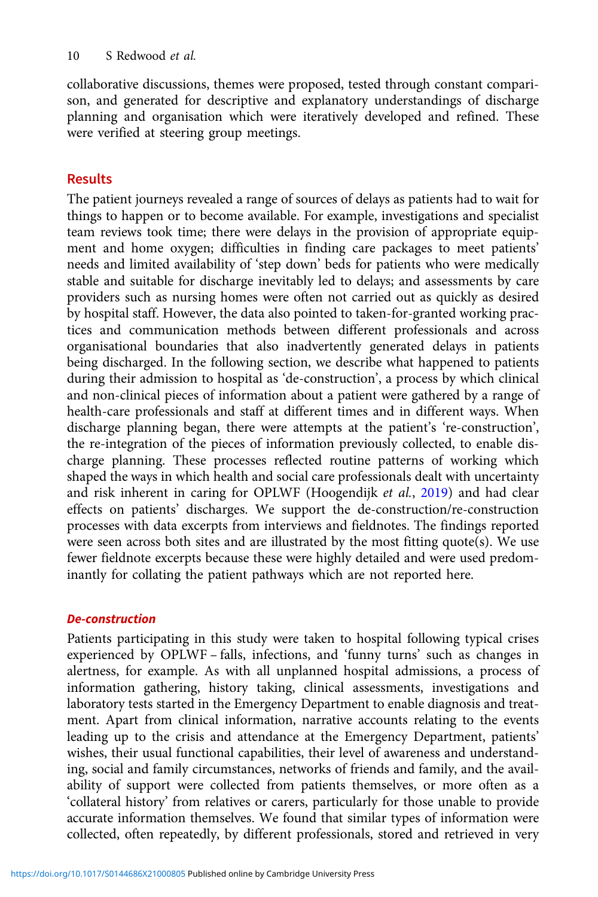collaborative discussions, themes were proposed, tested through constant comparison, and generated for descriptive and explanatory understandings of discharge planning and organisation which were iteratively developed and refined. These were verified at steering group meetings.

# Results

The patient journeys revealed a range of sources of delays as patients had to wait for things to happen or to become available. For example, investigations and specialist team reviews took time; there were delays in the provision of appropriate equipment and home oxygen; difficulties in finding care packages to meet patients' needs and limited availability of 'step down' beds for patients who were medically stable and suitable for discharge inevitably led to delays; and assessments by care providers such as nursing homes were often not carried out as quickly as desired by hospital staff. However, the data also pointed to taken-for-granted working practices and communication methods between different professionals and across organisational boundaries that also inadvertently generated delays in patients being discharged. In the following section, we describe what happened to patients during their admission to hospital as 'de-construction', a process by which clinical and non-clinical pieces of information about a patient were gathered by a range of health-care professionals and staff at different times and in different ways. When discharge planning began, there were attempts at the patient's 're-construction', the re-integration of the pieces of information previously collected, to enable discharge planning. These processes reflected routine patterns of working which shaped the ways in which health and social care professionals dealt with uncertainty and risk inherent in caring for OPLWF (Hoogendijk et al., [2019\)](#page-20-0) and had clear effects on patients' discharges. We support the de-construction/re-construction processes with data excerpts from interviews and fieldnotes. The findings reported were seen across both sites and are illustrated by the most fitting quote(s). We use fewer fieldnote excerpts because these were highly detailed and were used predominantly for collating the patient pathways which are not reported here.

# De-construction

Patients participating in this study were taken to hospital following typical crises experienced by OPLWF – falls, infections, and 'funny turns' such as changes in alertness, for example. As with all unplanned hospital admissions, a process of information gathering, history taking, clinical assessments, investigations and laboratory tests started in the Emergency Department to enable diagnosis and treatment. Apart from clinical information, narrative accounts relating to the events leading up to the crisis and attendance at the Emergency Department, patients' wishes, their usual functional capabilities, their level of awareness and understanding, social and family circumstances, networks of friends and family, and the availability of support were collected from patients themselves, or more often as a 'collateral history' from relatives or carers, particularly for those unable to provide accurate information themselves. We found that similar types of information were collected, often repeatedly, by different professionals, stored and retrieved in very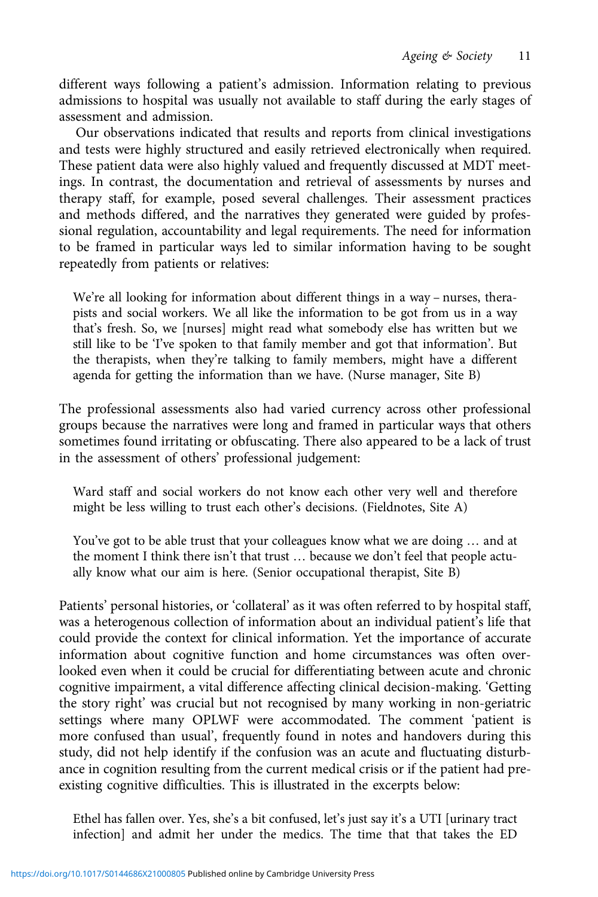different ways following a patient's admission. Information relating to previous admissions to hospital was usually not available to staff during the early stages of assessment and admission.

Our observations indicated that results and reports from clinical investigations and tests were highly structured and easily retrieved electronically when required. These patient data were also highly valued and frequently discussed at MDT meetings. In contrast, the documentation and retrieval of assessments by nurses and therapy staff, for example, posed several challenges. Their assessment practices and methods differed, and the narratives they generated were guided by professional regulation, accountability and legal requirements. The need for information to be framed in particular ways led to similar information having to be sought repeatedly from patients or relatives:

We're all looking for information about different things in a way – nurses, therapists and social workers. We all like the information to be got from us in a way that's fresh. So, we [nurses] might read what somebody else has written but we still like to be 'I've spoken to that family member and got that information'. But the therapists, when they're talking to family members, might have a different agenda for getting the information than we have. (Nurse manager, Site B)

The professional assessments also had varied currency across other professional groups because the narratives were long and framed in particular ways that others sometimes found irritating or obfuscating. There also appeared to be a lack of trust in the assessment of others' professional judgement:

Ward staff and social workers do not know each other very well and therefore might be less willing to trust each other's decisions. (Fieldnotes, Site A)

You've got to be able trust that your colleagues know what we are doing … and at the moment I think there isn't that trust … because we don't feel that people actually know what our aim is here. (Senior occupational therapist, Site B)

Patients' personal histories, or 'collateral' as it was often referred to by hospital staff, was a heterogenous collection of information about an individual patient's life that could provide the context for clinical information. Yet the importance of accurate information about cognitive function and home circumstances was often overlooked even when it could be crucial for differentiating between acute and chronic cognitive impairment, a vital difference affecting clinical decision-making. 'Getting the story right' was crucial but not recognised by many working in non-geriatric settings where many OPLWF were accommodated. The comment 'patient is more confused than usual', frequently found in notes and handovers during this study, did not help identify if the confusion was an acute and fluctuating disturbance in cognition resulting from the current medical crisis or if the patient had preexisting cognitive difficulties. This is illustrated in the excerpts below:

Ethel has fallen over. Yes, she's a bit confused, let's just say it's a UTI [urinary tract infection] and admit her under the medics. The time that that takes the ED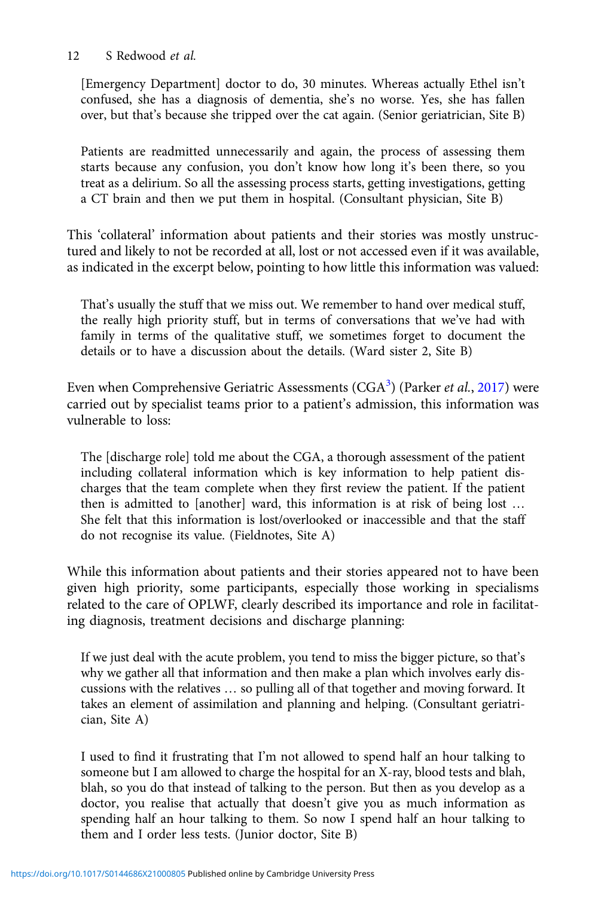# 12 S Redwood et al.

[Emergency Department] doctor to do, 30 minutes. Whereas actually Ethel isn't confused, she has a diagnosis of dementia, she's no worse. Yes, she has fallen over, but that's because she tripped over the cat again. (Senior geriatrician, Site B)

Patients are readmitted unnecessarily and again, the process of assessing them starts because any confusion, you don't know how long it's been there, so you treat as a delirium. So all the assessing process starts, getting investigations, getting a CT brain and then we put them in hospital. (Consultant physician, Site B)

This 'collateral' information about patients and their stories was mostly unstructured and likely to not be recorded at all, lost or not accessed even if it was available, as indicated in the excerpt below, pointing to how little this information was valued:

That's usually the stuff that we miss out. We remember to hand over medical stuff, the really high priority stuff, but in terms of conversations that we've had with family in terms of the qualitative stuff, we sometimes forget to document the details or to have a discussion about the details. (Ward sister 2, Site B)

Even when Comprehensive Geriatric Assessments  $(\mathrm{CGA}^3)$  $(\mathrm{CGA}^3)$  $(\mathrm{CGA}^3)$  (Parker *et al.*, [2017\)](#page-20-0) were carried out by specialist teams prior to a patient's admission, this information was vulnerable to loss:

The [discharge role] told me about the CGA, a thorough assessment of the patient including collateral information which is key information to help patient discharges that the team complete when they first review the patient. If the patient then is admitted to [another] ward, this information is at risk of being lost … She felt that this information is lost/overlooked or inaccessible and that the staff do not recognise its value. (Fieldnotes, Site A)

While this information about patients and their stories appeared not to have been given high priority, some participants, especially those working in specialisms related to the care of OPLWF, clearly described its importance and role in facilitating diagnosis, treatment decisions and discharge planning:

If we just deal with the acute problem, you tend to miss the bigger picture, so that's why we gather all that information and then make a plan which involves early discussions with the relatives … so pulling all of that together and moving forward. It takes an element of assimilation and planning and helping. (Consultant geriatrician, Site A)

I used to find it frustrating that I'm not allowed to spend half an hour talking to someone but I am allowed to charge the hospital for an X-ray, blood tests and blah, blah, so you do that instead of talking to the person. But then as you develop as a doctor, you realise that actually that doesn't give you as much information as spending half an hour talking to them. So now I spend half an hour talking to them and I order less tests. (Junior doctor, Site B)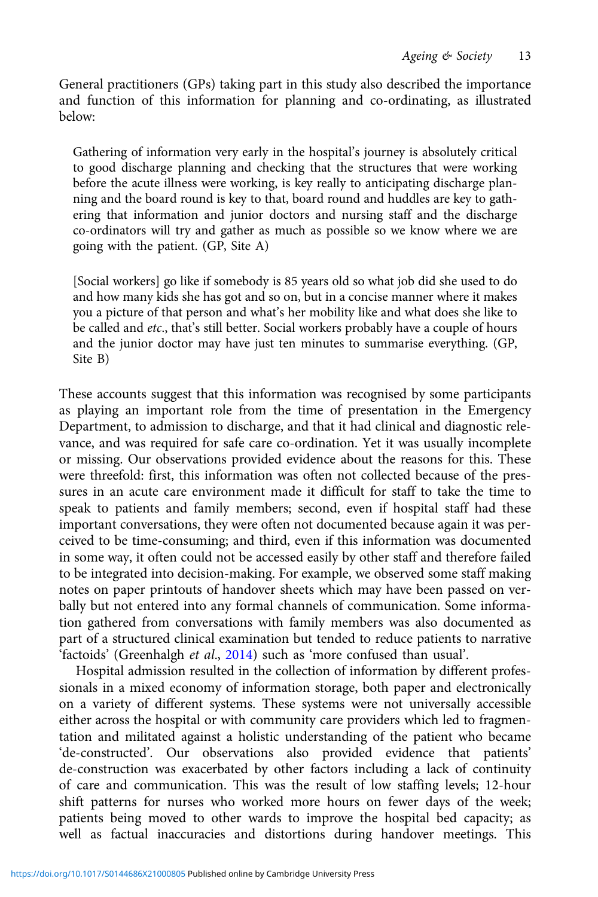General practitioners (GPs) taking part in this study also described the importance and function of this information for planning and co-ordinating, as illustrated below:

Gathering of information very early in the hospital's journey is absolutely critical to good discharge planning and checking that the structures that were working before the acute illness were working, is key really to anticipating discharge planning and the board round is key to that, board round and huddles are key to gathering that information and junior doctors and nursing staff and the discharge co-ordinators will try and gather as much as possible so we know where we are going with the patient. (GP, Site A)

[Social workers] go like if somebody is 85 years old so what job did she used to do and how many kids she has got and so on, but in a concise manner where it makes you a picture of that person and what's her mobility like and what does she like to be called and etc., that's still better. Social workers probably have a couple of hours and the junior doctor may have just ten minutes to summarise everything. (GP, Site B)

These accounts suggest that this information was recognised by some participants as playing an important role from the time of presentation in the Emergency Department, to admission to discharge, and that it had clinical and diagnostic relevance, and was required for safe care co-ordination. Yet it was usually incomplete or missing. Our observations provided evidence about the reasons for this. These were threefold: first, this information was often not collected because of the pressures in an acute care environment made it difficult for staff to take the time to speak to patients and family members; second, even if hospital staff had these important conversations, they were often not documented because again it was perceived to be time-consuming; and third, even if this information was documented in some way, it often could not be accessed easily by other staff and therefore failed to be integrated into decision-making. For example, we observed some staff making notes on paper printouts of handover sheets which may have been passed on verbally but not entered into any formal channels of communication. Some information gathered from conversations with family members was also documented as part of a structured clinical examination but tended to reduce patients to narrative 'factoids' (Greenhalgh et al., [2014](#page-20-0)) such as 'more confused than usual'.

Hospital admission resulted in the collection of information by different professionals in a mixed economy of information storage, both paper and electronically on a variety of different systems. These systems were not universally accessible either across the hospital or with community care providers which led to fragmentation and militated against a holistic understanding of the patient who became 'de-constructed'. Our observations also provided evidence that patients' de-construction was exacerbated by other factors including a lack of continuity of care and communication. This was the result of low staffing levels; 12-hour shift patterns for nurses who worked more hours on fewer days of the week; patients being moved to other wards to improve the hospital bed capacity; as well as factual inaccuracies and distortions during handover meetings. This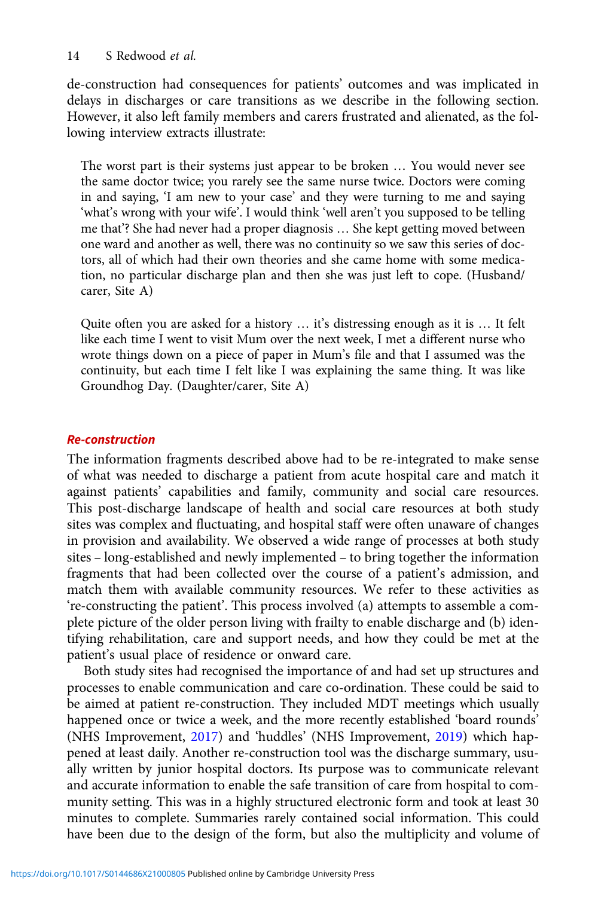de-construction had consequences for patients' outcomes and was implicated in delays in discharges or care transitions as we describe in the following section. However, it also left family members and carers frustrated and alienated, as the following interview extracts illustrate:

The worst part is their systems just appear to be broken … You would never see the same doctor twice; you rarely see the same nurse twice. Doctors were coming in and saying, 'I am new to your case' and they were turning to me and saying 'what's wrong with your wife'. I would think 'well aren't you supposed to be telling me that'? She had never had a proper diagnosis … She kept getting moved between one ward and another as well, there was no continuity so we saw this series of doctors, all of which had their own theories and she came home with some medication, no particular discharge plan and then she was just left to cope. (Husband/ carer, Site A)

Quite often you are asked for a history … it's distressing enough as it is … It felt like each time I went to visit Mum over the next week, I met a different nurse who wrote things down on a piece of paper in Mum's file and that I assumed was the continuity, but each time I felt like I was explaining the same thing. It was like Groundhog Day. (Daughter/carer, Site A)

## Re-construction

The information fragments described above had to be re-integrated to make sense of what was needed to discharge a patient from acute hospital care and match it against patients' capabilities and family, community and social care resources. This post-discharge landscape of health and social care resources at both study sites was complex and fluctuating, and hospital staff were often unaware of changes in provision and availability. We observed a wide range of processes at both study sites – long-established and newly implemented – to bring together the information fragments that had been collected over the course of a patient's admission, and match them with available community resources. We refer to these activities as 're-constructing the patient'. This process involved (a) attempts to assemble a complete picture of the older person living with frailty to enable discharge and (b) identifying rehabilitation, care and support needs, and how they could be met at the patient's usual place of residence or onward care.

Both study sites had recognised the importance of and had set up structures and processes to enable communication and care co-ordination. These could be said to be aimed at patient re-construction. They included MDT meetings which usually happened once or twice a week, and the more recently established 'board rounds' (NHS Improvement, [2017](#page-20-0)) and 'huddles' (NHS Improvement, [2019](#page-20-0)) which happened at least daily. Another re-construction tool was the discharge summary, usually written by junior hospital doctors. Its purpose was to communicate relevant and accurate information to enable the safe transition of care from hospital to community setting. This was in a highly structured electronic form and took at least 30 minutes to complete. Summaries rarely contained social information. This could have been due to the design of the form, but also the multiplicity and volume of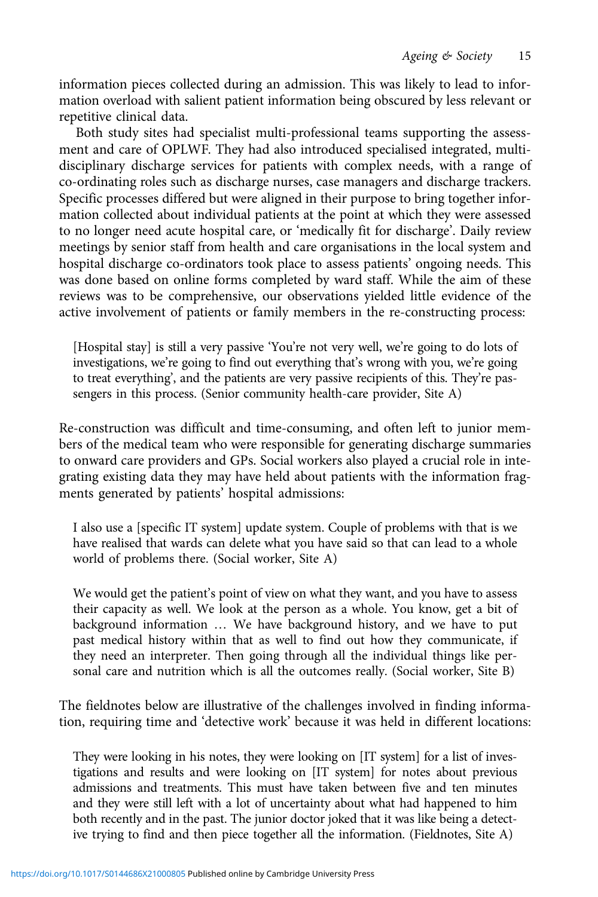information pieces collected during an admission. This was likely to lead to information overload with salient patient information being obscured by less relevant or repetitive clinical data.

Both study sites had specialist multi-professional teams supporting the assessment and care of OPLWF. They had also introduced specialised integrated, multidisciplinary discharge services for patients with complex needs, with a range of co-ordinating roles such as discharge nurses, case managers and discharge trackers. Specific processes differed but were aligned in their purpose to bring together information collected about individual patients at the point at which they were assessed to no longer need acute hospital care, or 'medically fit for discharge'. Daily review meetings by senior staff from health and care organisations in the local system and hospital discharge co-ordinators took place to assess patients' ongoing needs. This was done based on online forms completed by ward staff. While the aim of these reviews was to be comprehensive, our observations yielded little evidence of the active involvement of patients or family members in the re-constructing process:

[Hospital stay] is still a very passive 'You're not very well, we're going to do lots of investigations, we're going to find out everything that's wrong with you, we're going to treat everything', and the patients are very passive recipients of this. They're passengers in this process. (Senior community health-care provider, Site A)

Re-construction was difficult and time-consuming, and often left to junior members of the medical team who were responsible for generating discharge summaries to onward care providers and GPs. Social workers also played a crucial role in integrating existing data they may have held about patients with the information fragments generated by patients' hospital admissions:

I also use a [specific IT system] update system. Couple of problems with that is we have realised that wards can delete what you have said so that can lead to a whole world of problems there. (Social worker, Site A)

We would get the patient's point of view on what they want, and you have to assess their capacity as well. We look at the person as a whole. You know, get a bit of background information … We have background history, and we have to put past medical history within that as well to find out how they communicate, if they need an interpreter. Then going through all the individual things like personal care and nutrition which is all the outcomes really. (Social worker, Site B)

The fieldnotes below are illustrative of the challenges involved in finding information, requiring time and 'detective work' because it was held in different locations:

They were looking in his notes, they were looking on [IT system] for a list of investigations and results and were looking on [IT system] for notes about previous admissions and treatments. This must have taken between five and ten minutes and they were still left with a lot of uncertainty about what had happened to him both recently and in the past. The junior doctor joked that it was like being a detective trying to find and then piece together all the information. (Fieldnotes, Site A)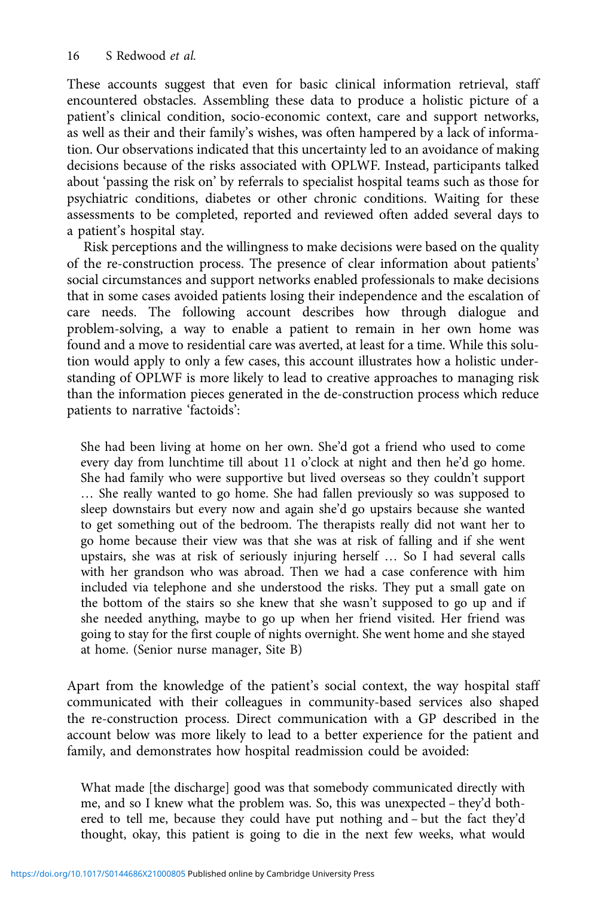These accounts suggest that even for basic clinical information retrieval, staff encountered obstacles. Assembling these data to produce a holistic picture of a patient's clinical condition, socio-economic context, care and support networks, as well as their and their family's wishes, was often hampered by a lack of information. Our observations indicated that this uncertainty led to an avoidance of making decisions because of the risks associated with OPLWF. Instead, participants talked about 'passing the risk on' by referrals to specialist hospital teams such as those for psychiatric conditions, diabetes or other chronic conditions. Waiting for these assessments to be completed, reported and reviewed often added several days to a patient's hospital stay.

Risk perceptions and the willingness to make decisions were based on the quality of the re-construction process. The presence of clear information about patients' social circumstances and support networks enabled professionals to make decisions that in some cases avoided patients losing their independence and the escalation of care needs. The following account describes how through dialogue and problem-solving, a way to enable a patient to remain in her own home was found and a move to residential care was averted, at least for a time. While this solution would apply to only a few cases, this account illustrates how a holistic understanding of OPLWF is more likely to lead to creative approaches to managing risk than the information pieces generated in the de-construction process which reduce patients to narrative 'factoids':

She had been living at home on her own. She'd got a friend who used to come every day from lunchtime till about 11 o'clock at night and then he'd go home. She had family who were supportive but lived overseas so they couldn't support … She really wanted to go home. She had fallen previously so was supposed to sleep downstairs but every now and again she'd go upstairs because she wanted to get something out of the bedroom. The therapists really did not want her to go home because their view was that she was at risk of falling and if she went upstairs, she was at risk of seriously injuring herself … So I had several calls with her grandson who was abroad. Then we had a case conference with him included via telephone and she understood the risks. They put a small gate on the bottom of the stairs so she knew that she wasn't supposed to go up and if she needed anything, maybe to go up when her friend visited. Her friend was going to stay for the first couple of nights overnight. She went home and she stayed at home. (Senior nurse manager, Site B)

Apart from the knowledge of the patient's social context, the way hospital staff communicated with their colleagues in community-based services also shaped the re-construction process. Direct communication with a GP described in the account below was more likely to lead to a better experience for the patient and family, and demonstrates how hospital readmission could be avoided:

What made [the discharge] good was that somebody communicated directly with me, and so I knew what the problem was. So, this was unexpected – they'd bothered to tell me, because they could have put nothing and – but the fact they'd thought, okay, this patient is going to die in the next few weeks, what would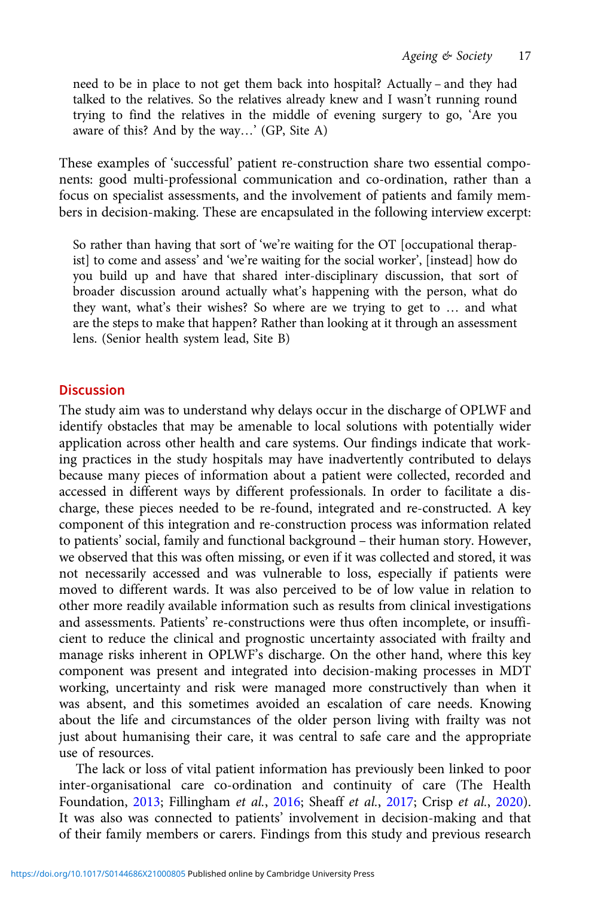need to be in place to not get them back into hospital? Actually – and they had talked to the relatives. So the relatives already knew and I wasn't running round trying to find the relatives in the middle of evening surgery to go, 'Are you aware of this? And by the way…' (GP, Site A)

These examples of 'successful' patient re-construction share two essential components: good multi-professional communication and co-ordination, rather than a focus on specialist assessments, and the involvement of patients and family members in decision-making. These are encapsulated in the following interview excerpt:

So rather than having that sort of 'we're waiting for the OT [occupational therapist] to come and assess' and 'we're waiting for the social worker', [instead] how do you build up and have that shared inter-disciplinary discussion, that sort of broader discussion around actually what's happening with the person, what do they want, what's their wishes? So where are we trying to get to … and what are the steps to make that happen? Rather than looking at it through an assessment lens. (Senior health system lead, Site B)

# **Discussion**

The study aim was to understand why delays occur in the discharge of OPLWF and identify obstacles that may be amenable to local solutions with potentially wider application across other health and care systems. Our findings indicate that working practices in the study hospitals may have inadvertently contributed to delays because many pieces of information about a patient were collected, recorded and accessed in different ways by different professionals. In order to facilitate a discharge, these pieces needed to be re-found, integrated and re-constructed. A key component of this integration and re-construction process was information related to patients' social, family and functional background – their human story. However, we observed that this was often missing, or even if it was collected and stored, it was not necessarily accessed and was vulnerable to loss, especially if patients were moved to different wards. It was also perceived to be of low value in relation to other more readily available information such as results from clinical investigations and assessments. Patients' re-constructions were thus often incomplete, or insufficient to reduce the clinical and prognostic uncertainty associated with frailty and manage risks inherent in OPLWF's discharge. On the other hand, where this key component was present and integrated into decision-making processes in MDT working, uncertainty and risk were managed more constructively than when it was absent, and this sometimes avoided an escalation of care needs. Knowing about the life and circumstances of the older person living with frailty was not just about humanising their care, it was central to safe care and the appropriate use of resources.

The lack or loss of vital patient information has previously been linked to poor inter-organisational care co-ordination and continuity of care (The Health Foundation, [2013;](#page-21-0) Fillingham et al., [2016;](#page-20-0) Sheaff et al., [2017](#page-21-0); Crisp et al., [2020\)](#page-19-0). It was also was connected to patients' involvement in decision-making and that of their family members or carers. Findings from this study and previous research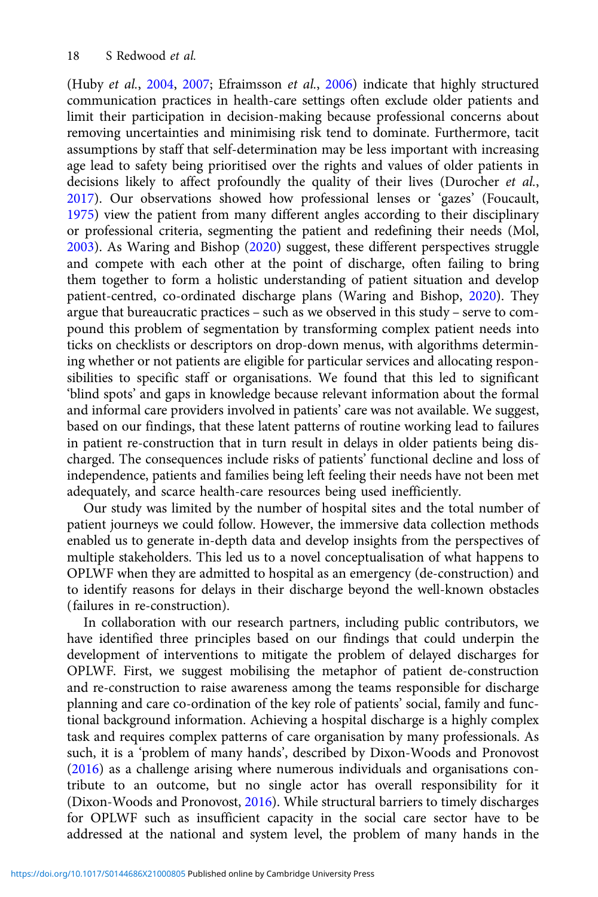(Huby et al., [2004](#page-20-0), [2007](#page-20-0); Efraimsson et al., [2006\)](#page-20-0) indicate that highly structured communication practices in health-care settings often exclude older patients and limit their participation in decision-making because professional concerns about removing uncertainties and minimising risk tend to dominate. Furthermore, tacit assumptions by staff that self-determination may be less important with increasing age lead to safety being prioritised over the rights and values of older patients in decisions likely to affect profoundly the quality of their lives (Durocher et al., [2017\)](#page-20-0). Our observations showed how professional lenses or 'gazes' (Foucault, [1975\)](#page-20-0) view the patient from many different angles according to their disciplinary or professional criteria, segmenting the patient and redefining their needs (Mol, [2003\)](#page-20-0). As Waring and Bishop ([2020](#page-21-0)) suggest, these different perspectives struggle and compete with each other at the point of discharge, often failing to bring them together to form a holistic understanding of patient situation and develop patient-centred, co-ordinated discharge plans (Waring and Bishop, [2020\)](#page-21-0). They argue that bureaucratic practices – such as we observed in this study – serve to compound this problem of segmentation by transforming complex patient needs into ticks on checklists or descriptors on drop-down menus, with algorithms determining whether or not patients are eligible for particular services and allocating responsibilities to specific staff or organisations. We found that this led to significant 'blind spots' and gaps in knowledge because relevant information about the formal and informal care providers involved in patients' care was not available. We suggest, based on our findings, that these latent patterns of routine working lead to failures in patient re-construction that in turn result in delays in older patients being discharged. The consequences include risks of patients' functional decline and loss of independence, patients and families being left feeling their needs have not been met adequately, and scarce health-care resources being used inefficiently.

Our study was limited by the number of hospital sites and the total number of patient journeys we could follow. However, the immersive data collection methods enabled us to generate in-depth data and develop insights from the perspectives of multiple stakeholders. This led us to a novel conceptualisation of what happens to OPLWF when they are admitted to hospital as an emergency (de-construction) and to identify reasons for delays in their discharge beyond the well-known obstacles (failures in re-construction).

In collaboration with our research partners, including public contributors, we have identified three principles based on our findings that could underpin the development of interventions to mitigate the problem of delayed discharges for OPLWF. First, we suggest mobilising the metaphor of patient de-construction and re-construction to raise awareness among the teams responsible for discharge planning and care co-ordination of the key role of patients' social, family and functional background information. Achieving a hospital discharge is a highly complex task and requires complex patterns of care organisation by many professionals. As such, it is a 'problem of many hands', described by Dixon-Woods and Pronovost ([2016](#page-20-0)) as a challenge arising where numerous individuals and organisations contribute to an outcome, but no single actor has overall responsibility for it (Dixon-Woods and Pronovost, [2016\)](#page-20-0). While structural barriers to timely discharges for OPLWF such as insufficient capacity in the social care sector have to be addressed at the national and system level, the problem of many hands in the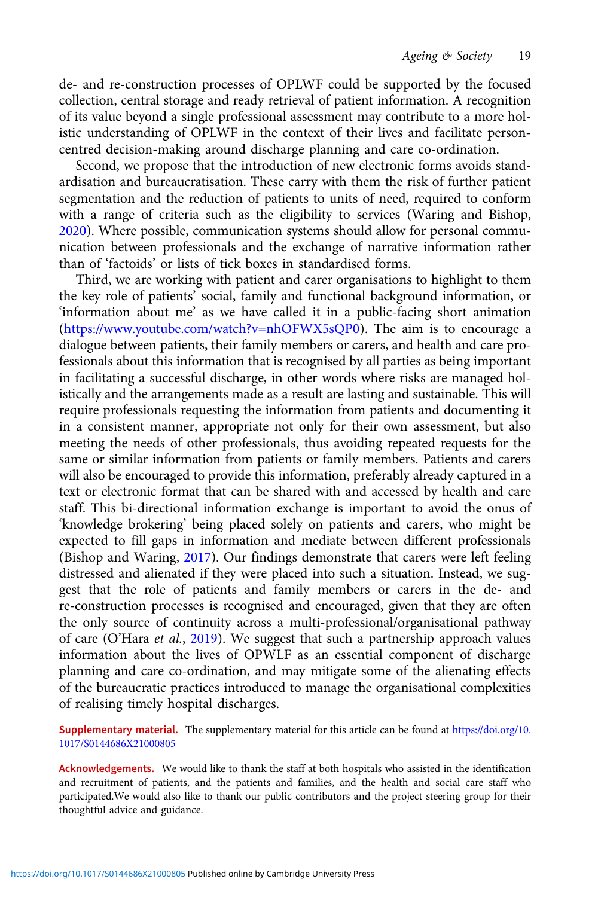de- and re-construction processes of OPLWF could be supported by the focused collection, central storage and ready retrieval of patient information. A recognition of its value beyond a single professional assessment may contribute to a more holistic understanding of OPLWF in the context of their lives and facilitate personcentred decision-making around discharge planning and care co-ordination.

Second, we propose that the introduction of new electronic forms avoids standardisation and bureaucratisation. These carry with them the risk of further patient segmentation and the reduction of patients to units of need, required to conform with a range of criteria such as the eligibility to services (Waring and Bishop, [2020](#page-21-0)). Where possible, communication systems should allow for personal communication between professionals and the exchange of narrative information rather than of 'factoids' or lists of tick boxes in standardised forms.

Third, we are working with patient and carer organisations to highlight to them the key role of patients' social, family and functional background information, or 'information about me' as we have called it in a public-facing short animation [\(https://www.youtube.com/watch?v=nhOFWX5sQP0](https://www.youtube.com/watch?v=nhOFWX5sQP0)). The aim is to encourage a dialogue between patients, their family members or carers, and health and care professionals about this information that is recognised by all parties as being important in facilitating a successful discharge, in other words where risks are managed holistically and the arrangements made as a result are lasting and sustainable. This will require professionals requesting the information from patients and documenting it in a consistent manner, appropriate not only for their own assessment, but also meeting the needs of other professionals, thus avoiding repeated requests for the same or similar information from patients or family members. Patients and carers will also be encouraged to provide this information, preferably already captured in a text or electronic format that can be shared with and accessed by health and care staff. This bi-directional information exchange is important to avoid the onus of 'knowledge brokering' being placed solely on patients and carers, who might be expected to fill gaps in information and mediate between different professionals (Bishop and Waring, [2017](#page-19-0)). Our findings demonstrate that carers were left feeling distressed and alienated if they were placed into such a situation. Instead, we suggest that the role of patients and family members or carers in the de- and re-construction processes is recognised and encouraged, given that they are often the only source of continuity across a multi-professional/organisational pathway of care (O'Hara et al., [2019\)](#page-20-0). We suggest that such a partnership approach values information about the lives of OPWLF as an essential component of discharge planning and care co-ordination, and may mitigate some of the alienating effects of the bureaucratic practices introduced to manage the organisational complexities of realising timely hospital discharges.

Supplementary material. The supplementary material for this article can be found at [https://doi.org/10.](https://doi.org/10.1017/S0144686X21000805) [1017/S0144686X21000805](https://doi.org/10.1017/S0144686X21000805)

Acknowledgements. We would like to thank the staff at both hospitals who assisted in the identification and recruitment of patients, and the patients and families, and the health and social care staff who participated.We would also like to thank our public contributors and the project steering group for their thoughtful advice and guidance.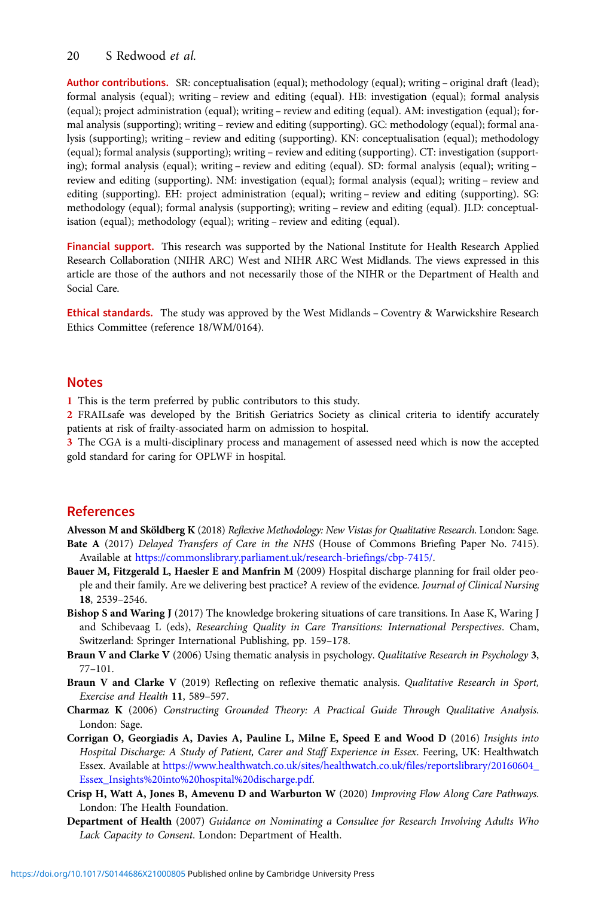#### <span id="page-19-0"></span>20 S Redwood et al.

Author contributions. SR: conceptualisation (equal); methodology (equal); writing – original draft (lead); formal analysis (equal); writing – review and editing (equal). HB: investigation (equal); formal analysis (equal); project administration (equal); writing – review and editing (equal). AM: investigation (equal); formal analysis (supporting); writing – review and editing (supporting). GC: methodology (equal); formal analysis (supporting); writing – review and editing (supporting). KN: conceptualisation (equal); methodology (equal); formal analysis (supporting); writing – review and editing (supporting). CT: investigation (supporting); formal analysis (equal); writing – review and editing (equal). SD: formal analysis (equal); writing – review and editing (supporting). NM: investigation (equal); formal analysis (equal); writing – review and editing (supporting). EH: project administration (equal); writing – review and editing (supporting). SG: methodology (equal); formal analysis (supporting); writing – review and editing (equal). JLD: conceptualisation (equal); methodology (equal); writing – review and editing (equal).

Financial support. This research was supported by the National Institute for Health Research Applied Research Collaboration (NIHR ARC) West and NIHR ARC West Midlands. The views expressed in this article are those of the authors and not necessarily those of the NIHR or the Department of Health and Social Care.

Ethical standards. The study was approved by the West Midlands – Coventry & Warwickshire Research Ethics Committee (reference 18/WM/0164).

#### Notes

1 This is the term preferred by public contributors to this study.

2 FRAILsafe was developed by the British Geriatrics Society as clinical criteria to identify accurately patients at risk of frailty-associated harm on admission to hospital.

3 The CGA is a multi-disciplinary process and management of assessed need which is now the accepted gold standard for caring for OPLWF in hospital.

# References

Alvesson M and Sköldberg K (2018) Reflexive Methodology: New Vistas for Qualitative Research. London: Sage. Bate A (2017) Delayed Transfers of Care in the NHS (House of Commons Briefing Paper No. 7415). Available at [https://commonslibrary.parliament.uk/research-briefings/cbp-7415/.](https://commonslibrary.parliament.uk/research-briefings/cbp-7415/)

- Bauer M, Fitzgerald L, Haesler E and Manfrin M (2009) Hospital discharge planning for frail older people and their family. Are we delivering best practice? A review of the evidence. Journal of Clinical Nursing 18, 2539–2546.
- Bishop S and Waring J (2017) The knowledge brokering situations of care transitions. In Aase K, Waring J and Schibevaag L (eds), Researching Quality in Care Transitions: International Perspectives. Cham, Switzerland: Springer International Publishing, pp. 159–178.
- Braun V and Clarke V (2006) Using thematic analysis in psychology. Qualitative Research in Psychology 3, 77–101.
- Braun V and Clarke V (2019) Reflecting on reflexive thematic analysis. Qualitative Research in Sport, Exercise and Health 11, 589–597.
- Charmaz K (2006) Constructing Grounded Theory: A Practical Guide Through Qualitative Analysis. London: Sage.
- Corrigan O, Georgiadis A, Davies A, Pauline L, Milne E, Speed E and Wood D (2016) Insights into Hospital Discharge: A Study of Patient, Carer and Staff Experience in Essex. Feering, UK: Healthwatch Essex. Available at [https://www.healthwatch.co.uk/sites/healthwatch.co.uk/files/reportslibrary/20160604\\_](https://www.healthwatch.co.uk/sites/healthwatch.co.uk/files/reportslibrary/20160604_Essex_Insights%20into%20hospital%20discharge.pdf) [Essex\\_Insights%20into%20hospital%20discharge.pdf.](https://www.healthwatch.co.uk/sites/healthwatch.co.uk/files/reportslibrary/20160604_Essex_Insights%20into%20hospital%20discharge.pdf)
- Crisp H, Watt A, Jones B, Amevenu D and Warburton W (2020) Improving Flow Along Care Pathways. London: The Health Foundation.
- Department of Health (2007) Guidance on Nominating a Consultee for Research Involving Adults Who Lack Capacity to Consent. London: Department of Health.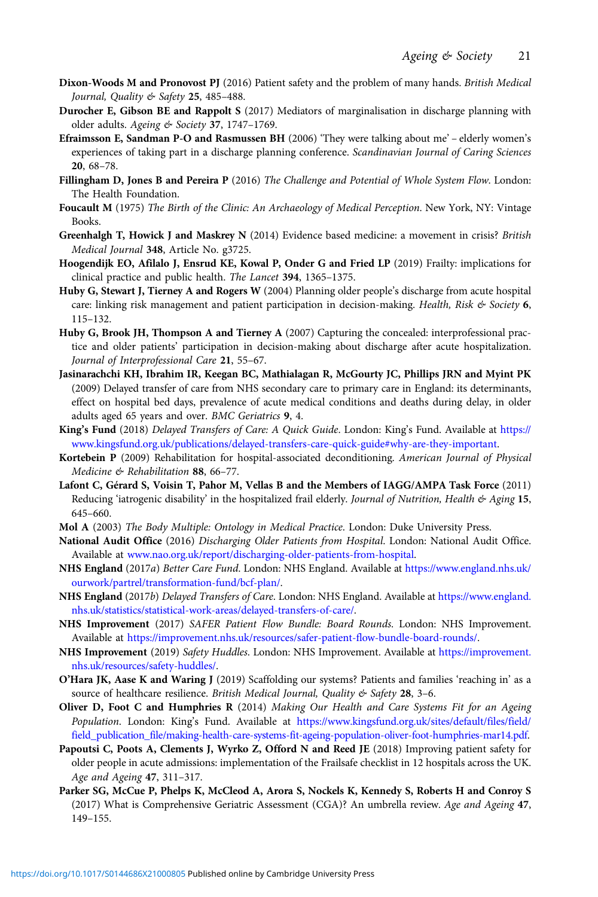- <span id="page-20-0"></span>Dixon-Woods M and Pronovost PJ (2016) Patient safety and the problem of many hands. British Medical Journal, Quality & Safety 25, 485–488.
- Durocher E, Gibson BE and Rappolt S (2017) Mediators of marginalisation in discharge planning with older adults. Ageing & Society 37, 1747–1769.
- Efraimsson E, Sandman P-O and Rasmussen BH (2006) 'They were talking about me' elderly women's experiences of taking part in a discharge planning conference. Scandinavian Journal of Caring Sciences 20, 68–78.
- Fillingham D, Jones B and Pereira P (2016) The Challenge and Potential of Whole System Flow. London: The Health Foundation.
- Foucault M (1975) The Birth of the Clinic: An Archaeology of Medical Perception. New York, NY: Vintage Books.
- Greenhalgh T, Howick J and Maskrey N (2014) Evidence based medicine: a movement in crisis? British Medical Journal 348, Article No. g3725.
- Hoogendijk EO, Afilalo J, Ensrud KE, Kowal P, Onder G and Fried LP (2019) Frailty: implications for clinical practice and public health. The Lancet 394, 1365–1375.
- Huby G, Stewart J, Tierney A and Rogers W (2004) Planning older people's discharge from acute hospital care: linking risk management and patient participation in decision-making. Health, Risk  $\&$  Society 6, 115–132.
- Huby G, Brook JH, Thompson A and Tierney A (2007) Capturing the concealed: interprofessional practice and older patients' participation in decision-making about discharge after acute hospitalization. Journal of Interprofessional Care 21, 55–67.
- Jasinarachchi KH, Ibrahim IR, Keegan BC, Mathialagan R, McGourty JC, Phillips JRN and Myint PK (2009) Delayed transfer of care from NHS secondary care to primary care in England: its determinants, effect on hospital bed days, prevalence of acute medical conditions and deaths during delay, in older adults aged 65 years and over. BMC Geriatrics 9, 4.
- King's Fund (2018) Delayed Transfers of Care: A Quick Guide. London: King's Fund. Available at [https://](https://www.kingsfund.org.uk/publications/delayed-transfers-care-quick-guide#why-are-they-important) [www.kingsfund.org.uk/publications/delayed-transfers-care-quick-guide#why-are-they-important](https://www.kingsfund.org.uk/publications/delayed-transfers-care-quick-guide#why-are-they-important).
- Kortebein P (2009) Rehabilitation for hospital-associated deconditioning. American Journal of Physical Medicine & Rehabilitation 88, 66-77.
- Lafont C, Gérard S, Voisin T, Pahor M, Vellas B and the Members of IAGG/AMPA Task Force (2011) Reducing 'iatrogenic disability' in the hospitalized frail elderly. Journal of Nutrition, Health & Aging 15, 645–660.
- Mol A (2003) The Body Multiple: Ontology in Medical Practice. London: Duke University Press.
- National Audit Office (2016) Discharging Older Patients from Hospital. London: National Audit Office. Available at [www.nao.org.uk/report/discharging-older-patients-from-hospital](https://www.nao.org.uk/report/discharging-older-patients-from-hospital).
- NHS England (2017a) Better Care Fund. London: NHS England. Available at [https://www.england.nhs.uk/](https://www.england.nhs.uk/ourwork/partrel/transformation-fund/bcf-plan/) [ourwork/partrel/transformation-fund/bcf-plan/.](https://www.england.nhs.uk/ourwork/partrel/transformation-fund/bcf-plan/)
- NHS England (2017b) Delayed Transfers of Care. London: NHS England. Available at [https://www.england.](https://www.england.nhs.uk/statistics/statistical-work-areas/delayed-transfers-of-care/) [nhs.uk/statistics/statistical-work-areas/delayed-transfers-of-care/](https://www.england.nhs.uk/statistics/statistical-work-areas/delayed-transfers-of-care/).
- NHS Improvement (2017) SAFER Patient Flow Bundle: Board Rounds. London: NHS Improvement. Available at [https://improvement.nhs.uk/resources/safer-patient-flow-bundle-board-rounds/.](https://improvement.nhs.uk/resources/safer-patient-flow-bundle-board-rounds/)
- NHS Improvement (2019) Safety Huddles. London: NHS Improvement. Available at [https://improvement.](https://improvement.nhs.uk/resources/safety-huddles/) [nhs.uk/resources/safety-huddles/.](https://improvement.nhs.uk/resources/safety-huddles/)
- O'Hara JK, Aase K and Waring J (2019) Scaffolding our systems? Patients and families 'reaching in' as a source of healthcare resilience. British Medical Journal, Quality & Safety 28, 3-6.
- Oliver D, Foot C and Humphries R (2014) Making Our Health and Care Systems Fit for an Ageing Population. London: King's Fund. Available at [https://www.kingsfund.org.uk/sites/default/files/field/](https://www.kingsfund.org.uk/sites/default/files/field/field_publication_file/making-health-care-systems-fit-ageing-population-oliver-foot-humphries-mar14.pdf) [field\\_publication\\_file/making-health-care-systems-fit-ageing-population-oliver-foot-humphries-mar14.pdf.](https://www.kingsfund.org.uk/sites/default/files/field/field_publication_file/making-health-care-systems-fit-ageing-population-oliver-foot-humphries-mar14.pdf)
- Papoutsi C, Poots A, Clements J, Wyrko Z, Offord N and Reed JE (2018) Improving patient safety for older people in acute admissions: implementation of the Frailsafe checklist in 12 hospitals across the UK. Age and Ageing 47, 311–317.
- Parker SG, McCue P, Phelps K, McCleod A, Arora S, Nockels K, Kennedy S, Roberts H and Conroy S (2017) What is Comprehensive Geriatric Assessment (CGA)? An umbrella review. Age and Ageing 47, 149–155.